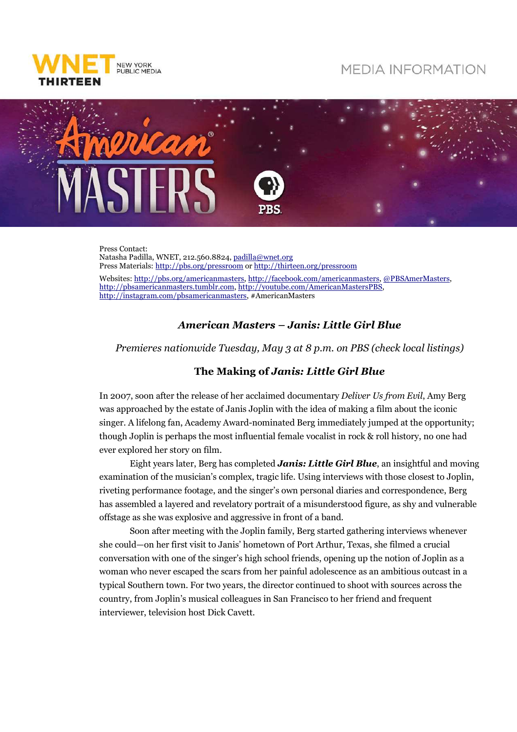

## **MEDIA INFORMATION**



Press Contact: Natasha Padilla, WNET, 212.560.8824, padilla@wnet.org Press Materials: http://pbs.org/pressroom or http://thirteen.org/pressroom Websites: http://pbs.org/americanmasters, http://facebook.com/americanmasters, @PBSAmerMasters, http://pbsamericanmasters.tumblr.com, http://youtube.com/AmericanMastersPBS, http://instagram.com/pbsamericanmasters, #AmericanMasters

## *American Masters – Janis: Little Girl Blue*

*Premieres nationwide Tuesday, May 3 at 8 p.m. on PBS (check local listings)* 

## **The Making of** *Janis: Little Girl Blue*

In 2007, soon after the release of her acclaimed documentary *Deliver Us from Evil*, Amy Berg was approached by the estate of Janis Joplin with the idea of making a film about the iconic singer. A lifelong fan, Academy Award-nominated Berg immediately jumped at the opportunity; though Joplin is perhaps the most influential female vocalist in rock & roll history, no one had ever explored her story on film.

Eight years later, Berg has completed *Janis: Little Girl Blue*, an insightful and moving examination of the musician's complex, tragic life. Using interviews with those closest to Joplin, riveting performance footage, and the singer's own personal diaries and correspondence, Berg has assembled a layered and revelatory portrait of a misunderstood figure, as shy and vulnerable offstage as she was explosive and aggressive in front of a band.

Soon after meeting with the Joplin family, Berg started gathering interviews whenever she could—on her first visit to Janis' hometown of Port Arthur, Texas, she filmed a crucial conversation with one of the singer's high school friends, opening up the notion of Joplin as a woman who never escaped the scars from her painful adolescence as an ambitious outcast in a typical Southern town. For two years, the director continued to shoot with sources across the country, from Joplin's musical colleagues in San Francisco to her friend and frequent interviewer, television host Dick Cavett.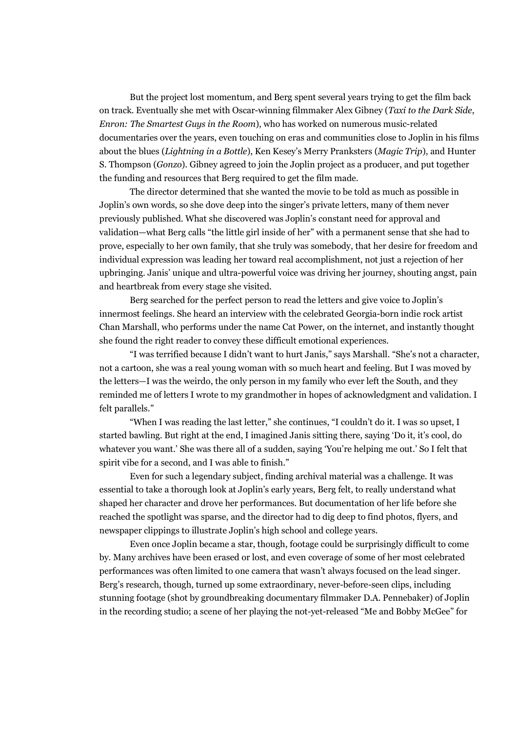But the project lost momentum, and Berg spent several years trying to get the film back on track. Eventually she met with Oscar-winning filmmaker Alex Gibney (*Taxi to the Dark Side*, *Enron: The Smartest Guys in the Room*), who has worked on numerous music-related documentaries over the years, even touching on eras and communities close to Joplin in his films about the blues (*Lightning in a Bottle*), Ken Kesey's Merry Pranksters (*Magic Trip*), and Hunter S. Thompson (*Gonzo*). Gibney agreed to join the Joplin project as a producer, and put together the funding and resources that Berg required to get the film made.

The director determined that she wanted the movie to be told as much as possible in Joplin's own words, so she dove deep into the singer's private letters, many of them never previously published. What she discovered was Joplin's constant need for approval and validation—what Berg calls "the little girl inside of her" with a permanent sense that she had to prove, especially to her own family, that she truly was somebody, that her desire for freedom and individual expression was leading her toward real accomplishment, not just a rejection of her upbringing. Janis' unique and ultra-powerful voice was driving her journey, shouting angst, pain and heartbreak from every stage she visited.

Berg searched for the perfect person to read the letters and give voice to Joplin's innermost feelings. She heard an interview with the celebrated Georgia-born indie rock artist Chan Marshall, who performs under the name Cat Power, on the internet, and instantly thought she found the right reader to convey these difficult emotional experiences.

"I was terrified because I didn't want to hurt Janis," says Marshall. "She's not a character, not a cartoon, she was a real young woman with so much heart and feeling. But I was moved by the letters—I was the weirdo, the only person in my family who ever left the South, and they reminded me of letters I wrote to my grandmother in hopes of acknowledgment and validation. I felt parallels."

"When I was reading the last letter," she continues, "I couldn't do it. I was so upset, I started bawling. But right at the end, I imagined Janis sitting there, saying 'Do it, it's cool, do whatever you want.' She was there all of a sudden, saying 'You're helping me out.' So I felt that spirit vibe for a second, and I was able to finish."

Even for such a legendary subject, finding archival material was a challenge. It was essential to take a thorough look at Joplin's early years, Berg felt, to really understand what shaped her character and drove her performances. But documentation of her life before she reached the spotlight was sparse, and the director had to dig deep to find photos, flyers, and newspaper clippings to illustrate Joplin's high school and college years.

Even once Joplin became a star, though, footage could be surprisingly difficult to come by. Many archives have been erased or lost, and even coverage of some of her most celebrated performances was often limited to one camera that wasn't always focused on the lead singer. Berg's research, though, turned up some extraordinary, never-before-seen clips, including stunning footage (shot by groundbreaking documentary filmmaker D.A. Pennebaker) of Joplin in the recording studio; a scene of her playing the not-yet-released "Me and Bobby McGee" for